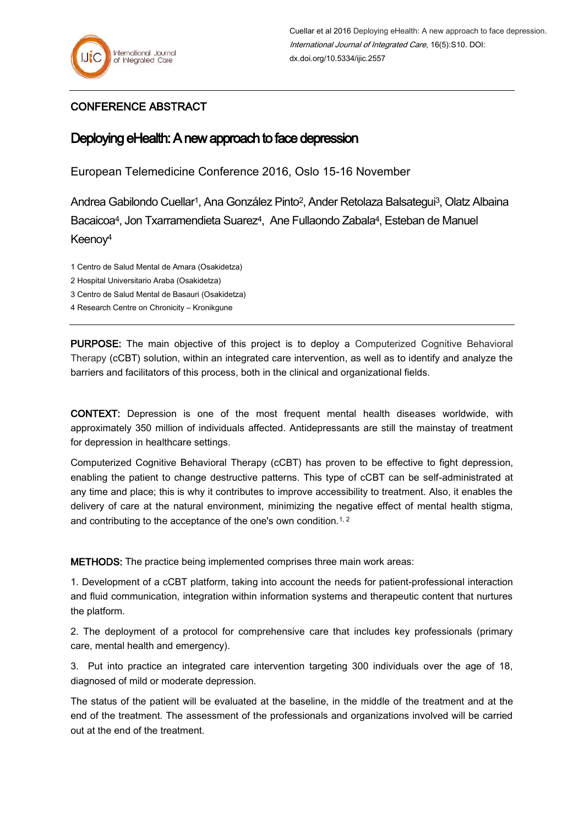## CONFERENCE ABSTRACT

## Deploying eHealth: A new approach to face depression

European Telemedicine Conference 2016, Oslo 15-16 November

Andrea Gabilondo Cuellar1, Ana González Pinto2, Ander Retolaza Balsategui3, Olatz Albaina Bacaicoa4, Jon Txarramendieta Suarez4, Ane Fullaondo Zabala4, Esteban de Manuel Keenoy<sup>4</sup>

- 1 Centro de Salud Mental de Amara (Osakidetza)
- 2 Hospital Universitario Araba (Osakidetza)
- 3 Centro de Salud Mental de Basauri (Osakidetza)
- 4 Research Centre on Chronicity Kronikgune

PURPOSE: The main objective of this project is to deploy a Computerized Cognitive Behavioral Therapy (cCBT) solution, within an integrated care intervention, as well as to identify and analyze the barriers and facilitators of this process, both in the clinical and organizational fields.

CONTEXT: Depression is one of the most frequent mental health diseases worldwide, with approximately 350 million of individuals affected. Antidepressants are still the mainstay of treatment for depression in healthcare settings.

Computerized Cognitive Behavioral Therapy (cCBT) has proven to be effective to fight depression, enabling the patient to change destructive patterns. This type of cCBT can be self-administrated at any time and place; this is why it contributes to improve accessibility to treatment. Also, it enables the delivery of care at the natural environment, minimizing the negative effect of mental health stigma, and contributing to the acceptance of the one's own condition.<sup>1, 2</sup>

METHODS: The practice being implemented comprises three main work areas:

1. Development of a cCBT platform, taking into account the needs for patient-professional interaction and fluid communication, integration within information systems and therapeutic content that nurtures the platform.

2. The deployment of a protocol for comprehensive care that includes key professionals (primary care, mental health and emergency).

3. Put into practice an integrated care intervention targeting 300 individuals over the age of 18, diagnosed of mild or moderate depression.

The status of the patient will be evaluated at the baseline, in the middle of the treatment and at the end of the treatment. The assessment of the professionals and organizations involved will be carried out at the end of the treatment.